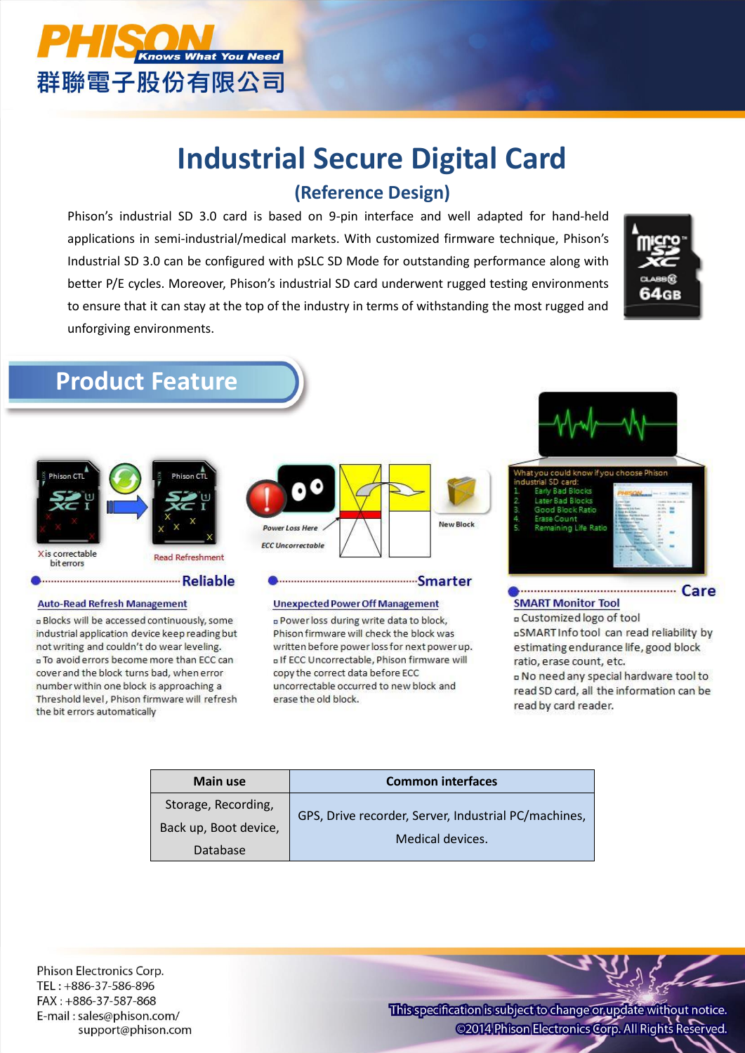

# **Industrial Secure Digital Card (Reference Design)**

Phison's industrial SD 3.0 card is based on 9-pin interface and well adapted for hand-held applications in semi-industrial/medical markets. With customized firmware technique, Phison's Industrial SD 3.0 can be configured with pSLC SD Mode for outstanding performance along with better P/E cycles. Moreover, Phison's industrial SD card underwent rugged testing environments to ensure that it can stay at the top of the industry in terms of withstanding the most rugged and unforgiving environments.



## **Product Feature**



#### 

#### **Auto-Read Refresh Management**

**a Blocks will be accessed continuously, some** industrial application device keep reading but not writing and couldn't do wear leveling. D To avoid errors become more than ECC can cover and the block turns bad, when error number within one block is approaching a Threshold level, Phison firmware will refresh the bit errors automatically



#### **Unexpected Power Off Management**

Smarter

DPowerloss during write data to block, Phison firmware will check the block was written before power loss for next power up. D If ECC Uncorrectable, Phison firmware will copy the correct data before ECC uncorrectable occurred to new block and erase the old block.



#### **SMART Monitor Tool a** Customized logo of tool DSMART Info tool can read reliability by estimating endurance life, good block ratio, erase count, etc. D No need any special hardware tool to

read SD card, all the information can be read by card reader.

| <b>Main use</b>       | <b>Common interfaces</b>                             |  |  |  |
|-----------------------|------------------------------------------------------|--|--|--|
| Storage, Recording,   | GPS, Drive recorder, Server, Industrial PC/machines, |  |  |  |
| Back up, Boot device, | Medical devices.                                     |  |  |  |
| Database              |                                                      |  |  |  |

Phison Electronics Corp. TEL: +886-37-586-896 FAX: +886-37-587-868 E-mail: sales@phison.com/ support@phison.com

This specification is subject to change or update without notice. @2014 Phison Electronics Corp. All Rights Reserved.